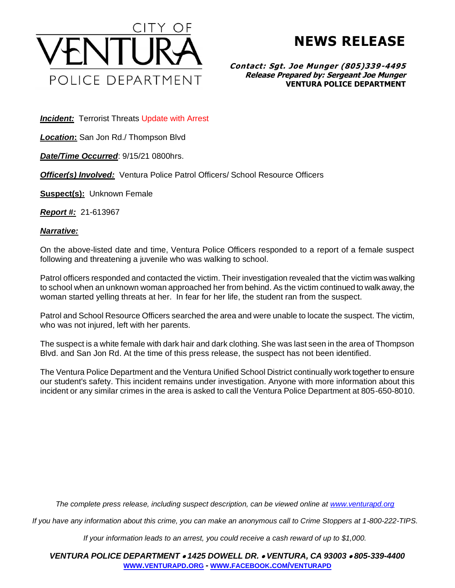

**NEWS RELEASE**

**Contact: Sgt. Joe Munger (805)339-4495 Release Prepared by: Sergeant Joe Munger VENTURA POLICE DEPARTMENT**

**Incident:** Terrorist Threats Update with Arrest

*Location***:** San Jon Rd./ Thompson Blvd

*Date/Time Occurred*: 9/15/21 0800hrs.

*Officer(s) Involved:* Ventura Police Patrol Officers/ School Resource Officers

**Suspect(s):** Unknown Female

*Report #:* 21-613967

*Narrative:* 

On the above-listed date and time, Ventura Police Officers responded to a report of a female suspect following and threatening a juvenile who was walking to school.

Patrol officers responded and contacted the victim. Their investigation revealed that the victim was walking to school when an unknown woman approached her from behind. As the victim continued to walk away, the woman started yelling threats at her. In fear for her life, the student ran from the suspect.

Patrol and School Resource Officers searched the area and were unable to locate the suspect. The victim, who was not injured, left with her parents.

The suspect is a white female with dark hair and dark clothing. She was last seen in the area of Thompson Blvd. and San Jon Rd. At the time of this press release, the suspect has not been identified.

The Ventura Police Department and the Ventura Unified School District continually work together to ensure our student's safety. This incident remains under investigation. Anyone with more information about this incident or any similar crimes in the area is asked to call the Ventura Police Department at 805-650-8010.

*The complete press release, including suspect description, can be viewed online at [www.venturapd.org](http://www.venturapd.org/)*

*If you have any information about this crime, you can make an anonymous call to Crime Stoppers at 1-800-222-TIPS.*

*If your information leads to an arrest, you could receive a cash reward of up to \$1,000.*